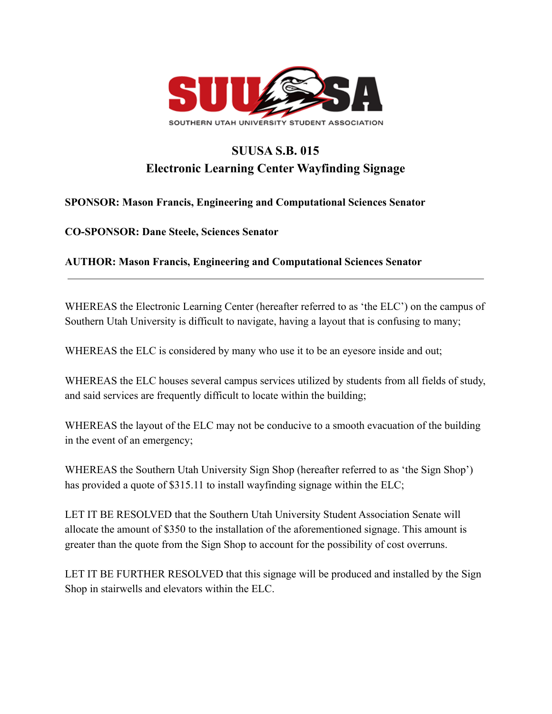

## **SUUSA S.B. 015 Electronic Learning Center Wayfinding Signage**

## **SPONSOR: Mason Francis, Engineering and Computational Sciences Senator**

**CO-SPONSOR: Dane Steele, Sciences Senator**

**AUTHOR: Mason Francis, Engineering and Computational Sciences Senator**

WHEREAS the Electronic Learning Center (hereafter referred to as 'the ELC') on the campus of Southern Utah University is difficult to navigate, having a layout that is confusing to many;

WHEREAS the ELC is considered by many who use it to be an eyesore inside and out;

WHEREAS the ELC houses several campus services utilized by students from all fields of study, and said services are frequently difficult to locate within the building;

WHEREAS the layout of the ELC may not be conducive to a smooth evacuation of the building in the event of an emergency;

WHEREAS the Southern Utah University Sign Shop (hereafter referred to as 'the Sign Shop') has provided a quote of \$315.11 to install wayfinding signage within the ELC;

LET IT BE RESOLVED that the Southern Utah University Student Association Senate will allocate the amount of \$350 to the installation of the aforementioned signage. This amount is greater than the quote from the Sign Shop to account for the possibility of cost overruns.

LET IT BE FURTHER RESOLVED that this signage will be produced and installed by the Sign Shop in stairwells and elevators within the ELC.